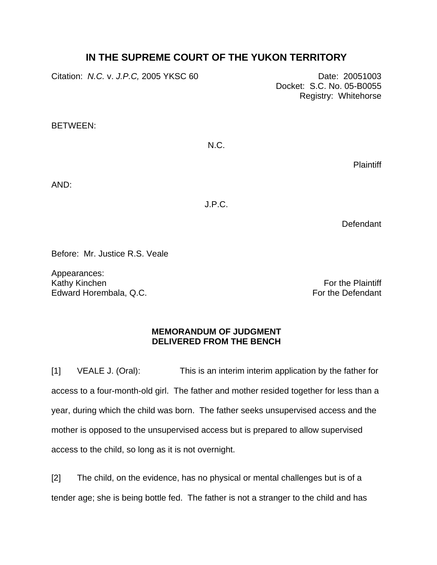## **IN THE SUPREME COURT OF THE YUKON TERRITORY**

Citation: *N.C.* v. *J.P.C,* 2005 YKSC 60 Date: 20051003 Docket: S.C. No. 05-B0055 Registry: Whitehorse BETWEEN: N.C.

**Plaintiff** 

AND:

J.P.C.

**Defendant** 

Before: Mr. Justice R.S. Veale

Appearances: Kathy Kinchen Edward Horembala, Q.C.

For the Plaintiff For the Defendant

## **MEMORANDUM OF JUDGMENT DELIVERED FROM THE BENCH**

[1] VEALE J. (Oral): This is an interim interim application by the father for access to a four-month-old girl. The father and mother resided together for less than a year, during which the child was born. The father seeks unsupervised access and the mother is opposed to the unsupervised access but is prepared to allow supervised access to the child, so long as it is not overnight.

[2] The child, on the evidence, has no physical or mental challenges but is of a tender age; she is being bottle fed. The father is not a stranger to the child and has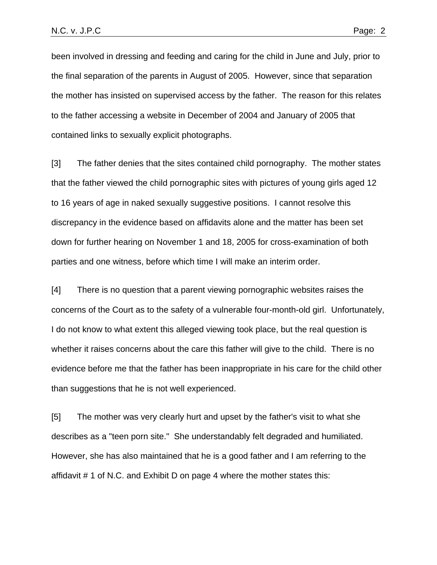been involved in dressing and feeding and caring for the child in June and July, prior to the final separation of the parents in August of 2005. However, since that separation the mother has insisted on supervised access by the father. The reason for this relates to the father accessing a website in December of 2004 and January of 2005 that contained links to sexually explicit photographs.

[3] The father denies that the sites contained child pornography. The mother states that the father viewed the child pornographic sites with pictures of young girls aged 12 to 16 years of age in naked sexually suggestive positions. I cannot resolve this discrepancy in the evidence based on affidavits alone and the matter has been set down for further hearing on November 1 and 18, 2005 for cross-examination of both parties and one witness, before which time I will make an interim order.

[4] There is no question that a parent viewing pornographic websites raises the concerns of the Court as to the safety of a vulnerable four-month-old girl. Unfortunately, I do not know to what extent this alleged viewing took place, but the real question is whether it raises concerns about the care this father will give to the child. There is no evidence before me that the father has been inappropriate in his care for the child other than suggestions that he is not well experienced.

[5] The mother was very clearly hurt and upset by the father's visit to what she describes as a "teen porn site." She understandably felt degraded and humiliated. However, she has also maintained that he is a good father and I am referring to the affidavit # 1 of N.C. and Exhibit D on page 4 where the mother states this: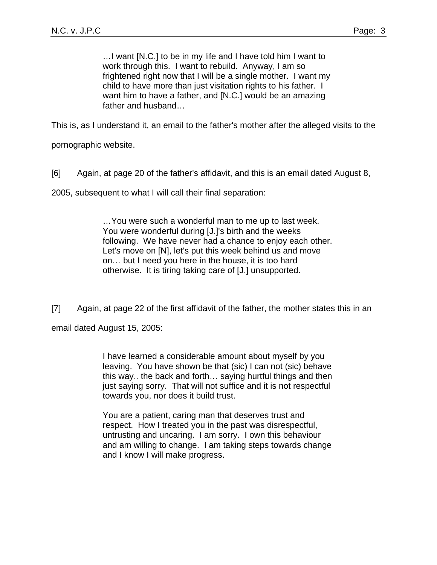…I want [N.C.] to be in my life and I have told him I want to work through this. I want to rebuild. Anyway, I am so frightened right now that I will be a single mother. I want my child to have more than just visitation rights to his father. I want him to have a father, and [N.C.] would be an amazing father and husband…

This is, as I understand it, an email to the father's mother after the alleged visits to the

pornographic website.

[6] Again, at page 20 of the father's affidavit, and this is an email dated August 8,

2005, subsequent to what I will call their final separation:

…You were such a wonderful man to me up to last week. You were wonderful during [J.]'s birth and the weeks following. We have never had a chance to enjoy each other. Let's move on [N], let's put this week behind us and move on… but I need you here in the house, it is too hard otherwise. It is tiring taking care of [J.] unsupported.

[7] Again, at page 22 of the first affidavit of the father, the mother states this in an

email dated August 15, 2005:

I have learned a considerable amount about myself by you leaving. You have shown be that (sic) I can not (sic) behave this way.. the back and forth… saying hurtful things and then just saying sorry. That will not suffice and it is not respectful towards you, nor does it build trust.

You are a patient, caring man that deserves trust and respect. How I treated you in the past was disrespectful, untrusting and uncaring. I am sorry. I own this behaviour and am willing to change. I am taking steps towards change and I know I will make progress.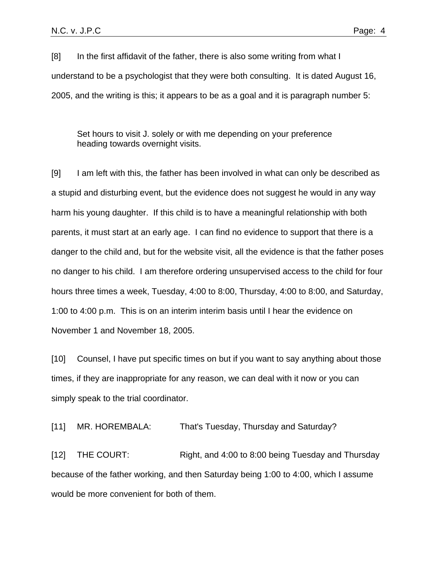[8] In the first affidavit of the father, there is also some writing from what I understand to be a psychologist that they were both consulting. It is dated August 16, 2005, and the writing is this; it appears to be as a goal and it is paragraph number 5:

Set hours to visit J. solely or with me depending on your preference heading towards overnight visits.

[9] I am left with this, the father has been involved in what can only be described as a stupid and disturbing event, but the evidence does not suggest he would in any way harm his young daughter. If this child is to have a meaningful relationship with both parents, it must start at an early age. I can find no evidence to support that there is a danger to the child and, but for the website visit, all the evidence is that the father poses no danger to his child. I am therefore ordering unsupervised access to the child for four hours three times a week, Tuesday, 4:00 to 8:00, Thursday, 4:00 to 8:00, and Saturday, 1:00 to 4:00 p.m. This is on an interim interim basis until I hear the evidence on November 1 and November 18, 2005.

[10] Counsel, I have put specific times on but if you want to say anything about those times, if they are inappropriate for any reason, we can deal with it now or you can simply speak to the trial coordinator.

[11] MR. HOREMBALA: That's Tuesday, Thursday and Saturday?

[12] THE COURT: Right, and 4:00 to 8:00 being Tuesday and Thursday because of the father working, and then Saturday being 1:00 to 4:00, which I assume would be more convenient for both of them.